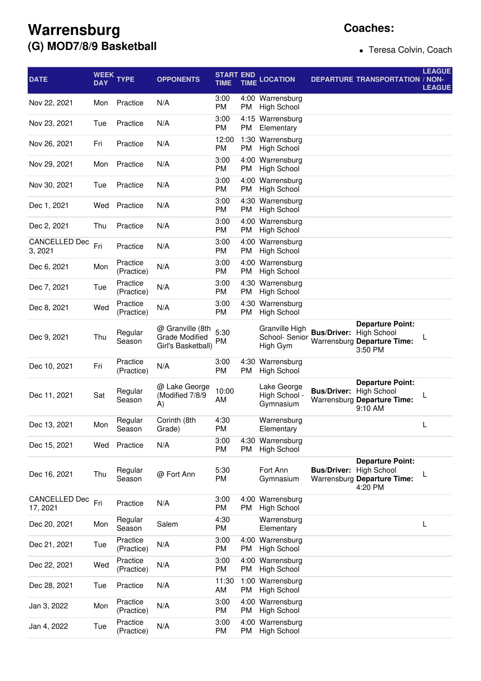## **Warrensburg (G) MOD7/8/9 Basketball**

## **Coaches:**

Teresa Colvin, Coach

| <b>DATE</b>                     | <b>DAY</b> | WEEK TYPE              | <b>OPPONENTS</b>                                                | <b>START END</b><br>TIME | <b>TIME</b>       | <b>LOCATION</b>                              |                                | <b>DEPARTURE TRANSPORTATION / NON-</b>                                                  | <b>LEAGUE</b><br><b>LEAGUE</b> |
|---------------------------------|------------|------------------------|-----------------------------------------------------------------|--------------------------|-------------------|----------------------------------------------|--------------------------------|-----------------------------------------------------------------------------------------|--------------------------------|
| Nov 22, 2021                    | Mon        | Practice               | N/A                                                             | 3:00<br><b>PM</b>        | PM                | 4:00 Warrensburg<br><b>High School</b>       |                                |                                                                                         |                                |
| Nov 23, 2021                    | Tue        | Practice               | N/A                                                             | 3:00<br><b>PM</b>        | <b>PM</b>         | 4:15 Warrensburg<br>Elementary               |                                |                                                                                         |                                |
| Nov 26, 2021                    | Fri        | Practice               | N/A                                                             | 12:00<br><b>PM</b>       | PM                | 1:30 Warrensburg<br><b>High School</b>       |                                |                                                                                         |                                |
| Nov 29, 2021                    | Mon        | Practice               | N/A                                                             | 3:00<br>PM               | 4:00<br><b>PM</b> | Warrensburg<br><b>High School</b>            |                                |                                                                                         |                                |
| Nov 30, 2021                    | Tue        | Practice               | N/A                                                             | 3:00<br><b>PM</b>        | 4:00<br>PM        | Warrensburg<br><b>High School</b>            |                                |                                                                                         |                                |
| Dec 1, 2021                     | Wed        | Practice               | N/A                                                             | 3:00<br>PM               | PM                | 4:30 Warrensburg<br><b>High School</b>       |                                |                                                                                         |                                |
| Dec 2, 2021                     | Thu        | Practice               | N/A                                                             | 3:00<br><b>PM</b>        | PM                | 4:00 Warrensburg<br><b>High School</b>       |                                |                                                                                         |                                |
| <b>CANCELLED Dec</b><br>3, 2021 | Fri        | Practice               | N/A                                                             | 3:00<br>PM               | 4:00<br>PM        | Warrensburg<br><b>High School</b>            |                                |                                                                                         |                                |
| Dec 6, 2021                     | Mon        | Practice<br>(Practice) | N/A                                                             | 3:00<br><b>PM</b>        | 4:00<br>PM        | Warrensburg<br><b>High School</b>            |                                |                                                                                         |                                |
| Dec 7, 2021                     | Tue        | Practice<br>(Practice) | N/A                                                             | 3:00<br><b>PM</b>        | PM                | 4:30 Warrensburg<br><b>High School</b>       |                                |                                                                                         |                                |
| Dec 8, 2021                     | Wed        | Practice<br>(Practice) | N/A                                                             | 3:00<br><b>PM</b>        | PM                | 4:30 Warrensburg<br><b>High School</b>       |                                |                                                                                         |                                |
| Dec 9, 2021                     | Thu        | Regular<br>Season      | @ Granville (8th<br><b>Grade Modified</b><br>Girl's Basketball) | 5:30<br>PM               |                   | Granville High<br>School- Senior<br>High Gym | <b>Bus/Driver:</b>             | <b>Departure Point:</b><br><b>High School</b><br>Warrensburg Departure Time:<br>3:50 PM |                                |
| Dec 10, 2021                    | Fri        | Practice<br>(Practice) | N/A                                                             | 3:00<br><b>PM</b>        | 4:30<br>PM        | Warrensburg<br><b>High School</b>            |                                |                                                                                         |                                |
| Dec 11, 2021                    | Sat        | Regular<br>Season      | @ Lake George<br>(Modified 7/8/9<br>A)                          | 10:00<br>AM              |                   | Lake George<br>High School -<br>Gymnasium    | <b>Bus/Driver: High School</b> | <b>Departure Point:</b><br>Warrensburg Departure Time:<br>9:10 AM                       | L                              |
| Dec 13, 2021                    | Mon        | Regular<br>Season      | Corinth (8th<br>Grade)                                          | 4:30<br>РM               |                   | Warrensburg<br>Elementary                    |                                |                                                                                         | L                              |
| Dec 15, 2021                    | Wed        | Practice               | N/A                                                             | 3:00<br><b>PM</b>        | 4:30<br>PM        | Warrensburg<br><b>High School</b>            |                                |                                                                                         |                                |
| Dec 16, 2021                    | Thu        | Regular<br>Season      | @ Fort Ann                                                      | 5:30<br>PM               |                   | Fort Ann<br>Gymnasium                        | <b>Bus/Driver: High School</b> | <b>Departure Point:</b><br>Warrensburg Departure Time:<br>4:20 PM                       | L                              |
| CANCELLED Dec<br>17, 2021       | Fri        | Practice               | N/A                                                             | 3:00<br>PM               | PM                | 4:00 Warrensburg<br><b>High School</b>       |                                |                                                                                         |                                |
| Dec 20, 2021                    | Mon        | Regular<br>Season      | Salem                                                           | 4:30<br>PM               |                   | Warrensburg<br>Elementary                    |                                |                                                                                         | L                              |
| Dec 21, 2021                    | Tue        | Practice<br>(Practice) | N/A                                                             | 3:00<br>PM               | 4:00<br>PM        | Warrensburg<br><b>High School</b>            |                                |                                                                                         |                                |
| Dec 22, 2021                    | Wed        | Practice<br>(Practice) | N/A                                                             | 3:00<br>PM               | 4:00<br><b>PM</b> | Warrensburg<br><b>High School</b>            |                                |                                                                                         |                                |
| Dec 28, 2021                    | Tue        | Practice               | N/A                                                             | 11:30<br>AM              | 1:00<br><b>PM</b> | Warrensburg<br><b>High School</b>            |                                |                                                                                         |                                |
| Jan 3, 2022                     | Mon        | Practice<br>(Practice) | N/A                                                             | 3:00<br>PM               | 4:00<br><b>PM</b> | Warrensburg<br><b>High School</b>            |                                |                                                                                         |                                |
| Jan 4, 2022                     | Tue        | Practice<br>(Practice) | N/A                                                             | 3:00<br>PM               | 4:00<br>PM        | Warrensburg<br><b>High School</b>            |                                |                                                                                         |                                |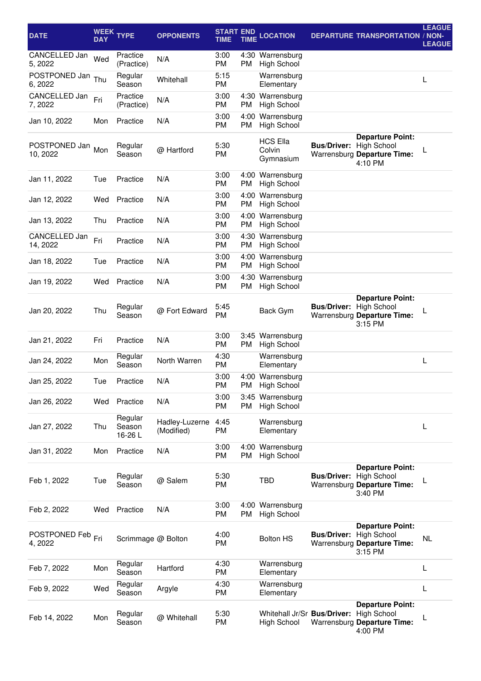| <b>DATE</b>               | <b>WEEK</b><br><b>DAY</b> | <b>TYPE</b>                 | <b>OPPONENTS</b>             | <b>START END</b><br>TIME | <b>TIME</b> | <b>LOCATION</b>                                        |                                | <b>DEPARTURE TRANSPORTATION / NON-</b>                                                  | <b>LEAGUE</b><br><b>LEAGUE</b> |
|---------------------------|---------------------------|-----------------------------|------------------------------|--------------------------|-------------|--------------------------------------------------------|--------------------------------|-----------------------------------------------------------------------------------------|--------------------------------|
| CANCELLED Jan<br>5, 2022  | Wed                       | Practice<br>(Practice)      | N/A                          | 3:00<br><b>PM</b>        | <b>PM</b>   | 4:30 Warrensburg<br><b>High School</b>                 |                                |                                                                                         |                                |
| POSTPONED Jan<br>6, 2022  | Thu                       | Regular<br>Season           | Whitehall                    | 5:15<br><b>PM</b>        |             | Warrensburg<br>Elementary                              |                                |                                                                                         | L                              |
| CANCELLED Jan<br>7, 2022  | Fri                       | Practice<br>(Practice)      | N/A                          | 3:00<br><b>PM</b>        | PM          | 4:30 Warrensburg<br><b>High School</b>                 |                                |                                                                                         |                                |
| Jan 10, 2022              | Mon                       | Practice                    | N/A                          | 3:00<br><b>PM</b>        | PM          | 4:00 Warrensburg<br><b>High School</b>                 |                                |                                                                                         |                                |
| POSTPONED Jan<br>10, 2022 | Mon                       | Regular<br>Season           | @ Hartford                   | 5:30<br><b>PM</b>        |             | <b>HCS Ella</b><br>Colvin<br>Gymnasium                 | <b>Bus/Driver:</b>             | <b>Departure Point:</b><br><b>High School</b><br>Warrensburg Departure Time:<br>4:10 PM |                                |
| Jan 11, 2022              | Tue                       | Practice                    | N/A                          | 3:00<br><b>PM</b>        | PM          | 4:00 Warrensburg<br><b>High School</b>                 |                                |                                                                                         |                                |
| Jan 12, 2022              | Wed                       | Practice                    | N/A                          | 3:00<br><b>PM</b>        | <b>PM</b>   | 4:00 Warrensburg<br><b>High School</b>                 |                                |                                                                                         |                                |
| Jan 13, 2022              | Thu                       | Practice                    | N/A                          | 3:00<br>PM               | 4:00<br>PM  | Warrensburg<br><b>High School</b>                      |                                |                                                                                         |                                |
| CANCELLED Jan<br>14, 2022 | Fri                       | Practice                    | N/A                          | 3:00<br><b>PM</b>        | 4:30<br>PM  | Warrensburg<br><b>High School</b>                      |                                |                                                                                         |                                |
| Jan 18, 2022              | Tue                       | Practice                    | N/A                          | 3:00<br><b>PM</b>        | PM          | 4:00 Warrensburg<br><b>High School</b>                 |                                |                                                                                         |                                |
| Jan 19, 2022              | Wed                       | Practice                    | N/A                          | 3:00<br>PM               | PM          | 4:30 Warrensburg<br><b>High School</b>                 |                                |                                                                                         |                                |
| Jan 20, 2022              | Thu                       | Regular<br>Season           | @ Fort Edward                | 5:45<br><b>PM</b>        |             | Back Gym                                               | <b>Bus/Driver: High School</b> | <b>Departure Point:</b><br>Warrensburg Departure Time:<br>3:15 PM                       |                                |
| Jan 21, 2022              | Fri                       | Practice                    | N/A                          | 3:00<br><b>PM</b>        | PM          | 3:45 Warrensburg<br><b>High School</b>                 |                                |                                                                                         |                                |
| Jan 24, 2022              | Mon                       | Regular<br>Season           | North Warren                 | 4:30<br>PM               |             | Warrensburg<br>Elementary                              |                                |                                                                                         | L                              |
| Jan 25, 2022              | Tue                       | Practice                    | N/A                          | 3:00<br>PM               |             | 4:00 Warrensburg<br>PM High School                     |                                |                                                                                         |                                |
| Jan 26, 2022              | Wed                       | Practice                    | N/A                          | 3:00<br><b>PM</b>        | PM          | 3:45 Warrensburg<br><b>High School</b>                 |                                |                                                                                         |                                |
| Jan 27, 2022              | Thu                       | Regular<br>Season<br>16-26L | Hadley-Luzerne<br>(Modified) | 4:45<br>PM               |             | Warrensburg<br>Elementary                              |                                |                                                                                         | L                              |
| Jan 31, 2022              | Mon                       | Practice                    | N/A                          | 3:00<br><b>PM</b>        | PM          | 4:00 Warrensburg<br><b>High School</b>                 |                                |                                                                                         |                                |
| Feb 1, 2022               | Tue                       | Regular<br>Season           | @ Salem                      | 5:30<br><b>PM</b>        |             | TBD                                                    | <b>Bus/Driver: High School</b> | <b>Departure Point:</b><br>Warrensburg Departure Time:<br>3:40 PM                       |                                |
| Feb 2, 2022               | Wed                       | Practice                    | N/A                          | 3:00<br><b>PM</b>        | PM          | 4:00 Warrensburg<br><b>High School</b>                 |                                |                                                                                         |                                |
| POSTPONED Feb<br>4, 2022  | Fri                       | Scrimmage @ Bolton          |                              | 4:00<br><b>PM</b>        |             | <b>Bolton HS</b>                                       | <b>Bus/Driver: High School</b> | <b>Departure Point:</b><br>Warrensburg Departure Time:<br>3:15 PM                       | NL                             |
| Feb 7, 2022               | Mon                       | Regular<br>Season           | Hartford                     | 4:30<br><b>PM</b>        |             | Warrensburg<br>Elementary                              |                                |                                                                                         | L                              |
| Feb 9, 2022               | Wed                       | Regular<br>Season           | Argyle                       | 4:30<br>PM               |             | Warrensburg<br>Elementary                              |                                |                                                                                         | L                              |
| Feb 14, 2022              | Mon                       | Regular<br>Season           | @ Whitehall                  | 5:30<br>PM               |             | Whitehall Jr/Sr Bus/Driver: High School<br>High School |                                | <b>Departure Point:</b><br>Warrensburg Departure Time:<br>4:00 PM                       | L                              |